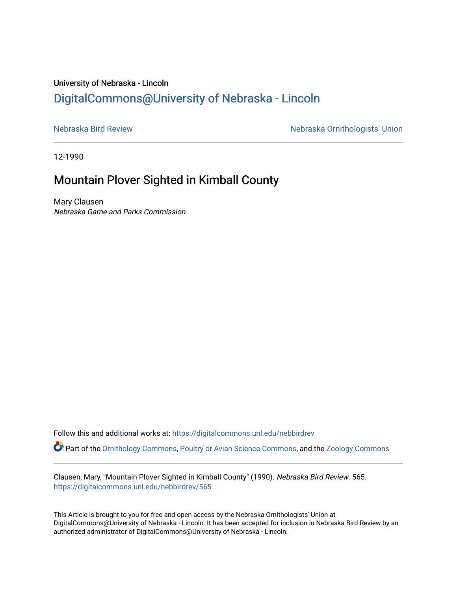## University of Nebraska - Lincoln [DigitalCommons@University of Nebraska - Lincoln](https://digitalcommons.unl.edu/)

[Nebraska Bird Review](https://digitalcommons.unl.edu/nebbirdrev) [Nebraska Ornithologists' Union](https://digitalcommons.unl.edu/nebornithologists) 

12-1990

## Mountain Plover Sighted in Kimball County

Mary Clausen Nebraska Game and Parks Commission

Follow this and additional works at: [https://digitalcommons.unl.edu/nebbirdrev](https://digitalcommons.unl.edu/nebbirdrev?utm_source=digitalcommons.unl.edu%2Fnebbirdrev%2F565&utm_medium=PDF&utm_campaign=PDFCoverPages) Part of the [Ornithology Commons,](http://network.bepress.com/hgg/discipline/1190?utm_source=digitalcommons.unl.edu%2Fnebbirdrev%2F565&utm_medium=PDF&utm_campaign=PDFCoverPages) [Poultry or Avian Science Commons](http://network.bepress.com/hgg/discipline/80?utm_source=digitalcommons.unl.edu%2Fnebbirdrev%2F565&utm_medium=PDF&utm_campaign=PDFCoverPages), and the [Zoology Commons](http://network.bepress.com/hgg/discipline/81?utm_source=digitalcommons.unl.edu%2Fnebbirdrev%2F565&utm_medium=PDF&utm_campaign=PDFCoverPages) 

Clausen, Mary, "Mountain Plover Sighted in Kimball County" (1990). Nebraska Bird Review. 565. [https://digitalcommons.unl.edu/nebbirdrev/565](https://digitalcommons.unl.edu/nebbirdrev/565?utm_source=digitalcommons.unl.edu%2Fnebbirdrev%2F565&utm_medium=PDF&utm_campaign=PDFCoverPages)

This Article is brought to you for free and open access by the Nebraska Ornithologists' Union at DigitalCommons@University of Nebraska - Lincoln. It has been accepted for inclusion in Nebraska Bird Review by an authorized administrator of DigitalCommons@University of Nebraska - Lincoln.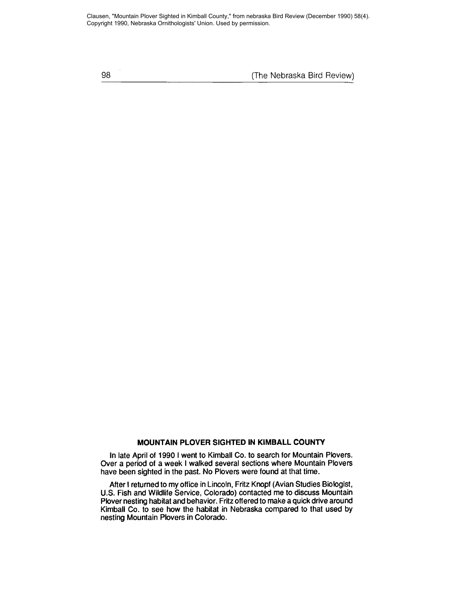Clausen, "Mountain Plover Sighted in Kimball County," from nebraska Bird Review (December 1990) 58(4). Copyright 1990, Nebraska Ornithologists' Union. Used by permission.

98 (The Nebraska Bird Review)

## **MOUNTAIN PLOVER SIGHTED IN KIMBALL COUNTY**

In late April of 1990 I went to Kimball Co. to search for Mountain Plovers. Over a period of a week I walked several sections where Mountain Plovers have been sighted in the past. No Plovers were found at that time.

After I returned to my office in Lincoln, Fritz Knopf (Avian Studies Biologist, U.S. Fish and Wildlife Service, Colorado) contacted me to discuss Mountain Plover nesting habitat and behavior. Fritz offered to make a quick drive around Kimball Co. to see how the habitat in Nebraska compared to that used by nesting Mountain Plovers in Colorado.